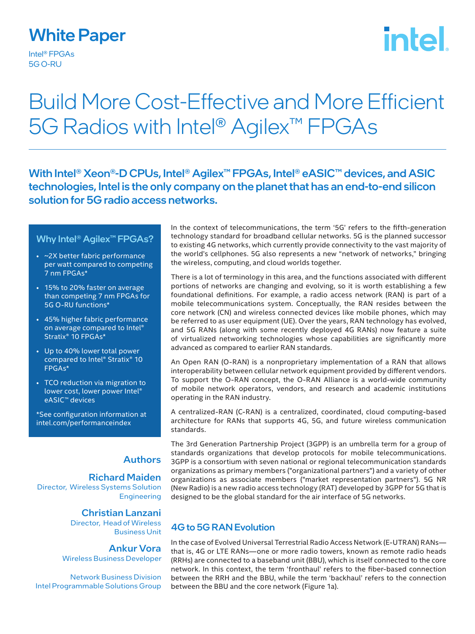### White Paper

Intel® FPGAs 5G O-RU

# **intel**

## Build More Cost-Effective and More Efficient 5G Radios with Intel® Agilex™ FPGAs

With Intel<sup>®</sup> Xeon®-D CPUs, Intel<sup>®</sup> Agilex<sup>™</sup> FPGAs, Intel® eASIC<sup>™</sup> devices, and ASIC technologies, Intel is the only company on the planet that has an end-to-end silicon solution for 5G radio access networks.

#### Why Intel<sup>®</sup> Agilex<sup>™</sup> FPGAs?

- ~2X better fabric performance per watt compared to competing 7 nm FPGAs\*
- 15% to 20% faster on average than competing 7 nm FPGAs for 5G O-RU functions\*
- 45% higher fabric performance on average compared to Intel® Stratix® 10 FPGAs\*
- Up to 40% lower total power compared to Intel® Stratix® 10 FPGAs\*
- TCO reduction via migration to lower cost, lower power Intel® eASIC™ devices

\*See configuration information at intel.com/performanceindex

#### **Authors**

#### Richard Maiden

Director, Wireless Systems Solution Engineering

#### Christian Lanzani Director, Head of Wireless

Business Unit Ankur Vora

Wireless Business Developer

Network Business Division Intel Programmable Solutions Group In the context of telecommunications, the term '5G' refers to the fifth-generation technology standard for broadband cellular networks. 5G is the planned successor to existing 4G networks, which currently provide connectivity to the vast majority of the world's cellphones. 5G also represents a new "network of networks," bringing the wireless, computing, and cloud worlds together.

There is a lot of terminology in this area, and the functions associated with different portions of networks are changing and evolving, so it is worth establishing a few foundational definitions. For example, a radio access network (RAN) is part of a mobile telecommunications system. Conceptually, the RAN resides between the core network (CN) and wireless connected devices like mobile phones, which may be referred to as user equipment (UE). Over the years, RAN technology has evolved, and 5G RANs (along with some recently deployed 4G RANs) now feature a suite of virtualized networking technologies whose capabilities are significantly more advanced as compared to earlier RAN standards.

An Open RAN (O-RAN) is a nonproprietary implementation of a RAN that allows interoperability between cellular network equipment provided by different vendors. To support the O-RAN concept, the O-RAN Alliance is a world-wide community of mobile network operators, vendors, and research and academic institutions operating in the RAN industry.

A centralized-RAN (C-RAN) is a centralized, coordinated, cloud computing-based architecture for RANs that supports 4G, 5G, and future wireless communication standards.

The 3rd Generation Partnership Project (3GPP) is an umbrella term for a group of standards organizations that develop protocols for mobile telecommunications. 3GPP is a consortium with seven national or regional telecommunication standards organizations as primary members ("organizational partners") and a variety of other organizations as associate members ("market representation partners"). 5G NR (New Radio) is a new radio access technology (RAT) developed by 3GPP for 5G that is designed to be the global standard for the air interface of 5G networks.

#### 4G to 5G RAN Evolution

In the case of Evolved Universal Terrestrial Radio Access Network (E-UTRAN) RANs that is, 4G or LTE RANs—one or more radio towers, known as remote radio heads (RRHs) are connected to a baseband unit (BBU), which is itself connected to the core network. In this context, the term 'fronthaul' refers to the fiber-based connection between the RRH and the BBU, while the term 'backhaul' refers to the connection between the BBU and the core network (Figure 1a).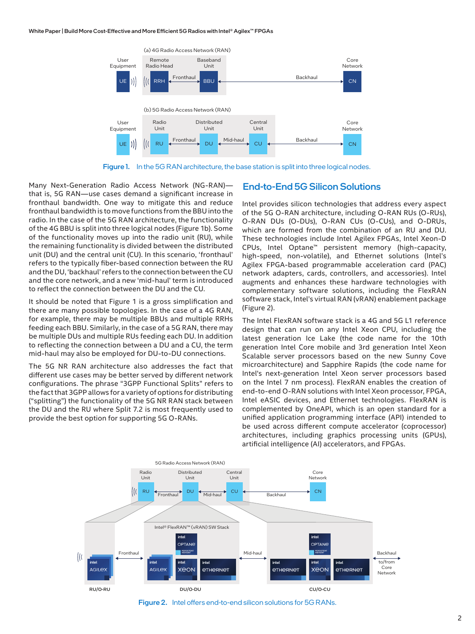

Figure 1. In the 5G RAN architecture, the base station is split into three logical nodes.

Many Next-Generation Radio Access Network (NG-RAN) that is, 5G RAN—use cases demand a significant increase in fronthaul bandwidth. One way to mitigate this and reduce fronthaul bandwidth is to move functions from the BBU into the radio. In the case of the 5G RAN architecture, the functionality of the 4G BBU is split into three logical nodes (Figure 1b). Some of the functionality moves up into the radio unit (RU), while the remaining functionality is divided between the distributed unit (DU) and the central unit (CU). In this scenario, 'fronthaul' refers to the typically fiber-based connection between the RU and the DU, 'backhaul' refers to the connection between the CU and the core network, and a new 'mid-haul' term is introduced to reflect the connection between the DU and the CU.

It should be noted that Figure 1 is a gross simplification and there are many possible topologies. In the case of a 4G RAN, for example, there may be multiple BBUs and multiple RRHs feeding each BBU. Similarly, in the case of a 5G RAN, there may be multiple DUs and multiple RUs feeding each DU. In addition to reflecting the connection between a DU and a CU, the term mid-haul may also be employed for DU-to-DU connections.

The 5G NR RAN architecture also addresses the fact that different use cases may be better served by different network configurations. The phrase "3GPP Functional Splits" refers to the fact that 3GPP allows for a variety of options for distributing ("splitting") the functionality of the 5G NR RAN stack between the DU and the RU where Split 7.2 is most frequently used to provide the best option for supporting 5G O-RANs.

#### End-to-End 5G Silicon Solutions

Intel provides silicon technologies that address every aspect of the 5G O-RAN architecture, including O-RAN RUs (O-RUs), O-RAN DUs (O-DUs), O-RAN CUs (O-CUs), and O-DRUs, which are formed from the combination of an RU and DU. These technologies include Intel Agilex FPGAs, Intel Xeon-D CPUs, Intel Optane™ persistent memory (high-capacity, high-speed, non-volatile), and Ethernet solutions (Intel's Agilex FPGA-based programmable acceleration card (PAC) network adapters, cards, controllers, and accessories). Intel augments and enhances these hardware technologies with complementary software solutions, including the FlexRAN software stack, Intel's virtual RAN (vRAN) enablement package (Figure 2).

The Intel FlexRAN software stack is a 4G and 5G L1 reference design that can run on any Intel Xeon CPU, including the latest generation Ice Lake (the code name for the 10th generation Intel Core mobile and 3rd generation Intel Xeon Scalable server processors based on the new Sunny Cove microarchitecture) and Sapphire Rapids (the code name for Intel's next-generation Intel Xeon server processors based on the Intel 7 nm process). FlexRAN enables the creation of end-to-end O-RAN solutions with Intel Xeon processor, FPGA, Intel eASIC devices, and Ethernet technologies. FlexRAN is complemented by OneAPI, which is an open standard for a unified application programming interface (API) intended to be used across different compute accelerator (coprocessor) architectures, including graphics processing units (GPUs), artificial intelligence (AI) accelerators, and FPGAs.



Figure 2. Intel offers end-to-end silicon solutions for 5G RANs.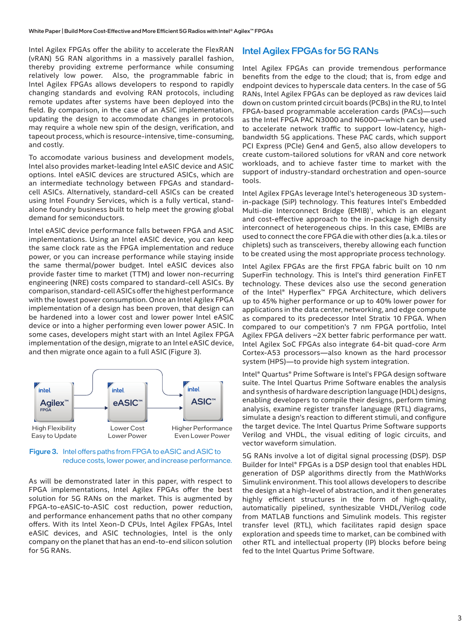Intel Agilex FPGAs offer the ability to accelerate the FlexRAN (vRAN) 5G RAN algorithms in a massively parallel fashion, thereby providing extreme performance while consuming relatively low power. Also, the programmable fabric in Intel Agilex FPGAs allows developers to respond to rapidly changing standards and evolving RAN protocols, including remote updates after systems have been deployed into the field. By comparison, in the case of an ASIC implementation, updating the design to accommodate changes in protocols may require a whole new spin of the design, verification, and tapeout process, which is resource-intensive, time-consuming, and costly.

To accomodate various business and development models, Intel also provides market-leading Intel eASIC device and ASIC options. Intel eASIC devices are structured ASICs, which are an intermediate technology between FPGAs and standardcell ASICs. Alternatively, standard-cell ASICs can be created using Intel Foundry Services, which is a fully vertical, standalone foundry business built to help meet the growing global demand for semiconductors.

Intel eASIC device performance falls between FPGA and ASIC implementations. Using an Intel eASIC device, you can keep the same clock rate as the FPGA implementation and reduce power, or you can increase performance while staying inside the same thermal/power budget. Intel eASIC devices also provide faster time to market (TTM) and lower non-recurring engineering (NRE) costs compared to standard-cell ASICs. By comparison, standard-cell ASICs offer the highest performance with the lowest power consumption. Once an Intel Agilex FPGA implementation of a design has been proven, that design can be hardened into a lower cost and lower power Intel eASIC device or into a higher performing even lower power ASIC. In some cases, developers might start with an Intel Agilex FPGA implementation of the design, migrate to an Intel eASIC device, and then migrate once again to a full ASIC (Figure 3).



Figure 3. Intel offers paths from FPGA to eASIC and ASIC to reduce costs, lower power, and increase performance.

As will be demonstrated later in this paper, with respect to FPGA implementations, Intel Agilex FPGAs offer the best solution for 5G RANs on the market. This is augmented by FPGA-to-eASIC-to-ASIC cost reduction, power reduction, and performance enhancement paths that no other company offers. With its Intel Xeon-D CPUs, Intel Agilex FPGAs, Intel eASIC devices, and ASIC technologies, Intel is the only company on the planet that has an end-to-end silicon solution for 5G RANs.

#### Intel Agilex FPGAs for 5G RANs

Intel Agilex FPGAs can provide tremendous performance benefits from the edge to the cloud; that is, from edge and endpoint devices to hyperscale data centers. In the case of 5G RANs, Intel Agilex FPGAs can be deployed as raw devices laid down on custom printed circuit boards (PCBs) in the RU, to Intel FPGA-based programmable acceleration cards (PACs)—such as the Intel FPGA PAC N3000 and N6000—which can be used to accelerate network traffic to support low-latency, highbandwidth 5G applications. These PAC cards, which support PCI Express (PCIe) Gen4 and Gen5, also allow developers to create custom-tailored solutions for vRAN and core network workloads, and to achieve faster time to market with the support of industry-standard orchestration and open-source tools.

Intel Agilex FPGAs leverage Intel's heterogeneous 3D systemin-package (SiP) technology. This features Intel's Embedded Multi-die Interconnect Bridge (EMIB)<sup>1</sup>, which is an elegant and cost-effective approach to the in-package high density interconnect of heterogeneous chips. In this case, EMIBs are used to connect the core FPGA die with other dies (a.k.a. tiles or chiplets) such as transceivers, thereby allowing each function to be created using the most appropriate process technology.

Intel Agilex FPGAs are the first FPGA fabric built on 10 nm SuperFin technology. This is Intel's third generation FinFET technology. These devices also use the second generation of the Intel® Hyperflex™ FPGA Architecture, which delivers up to 45% higher performance or up to 40% lower power for applications in the data center, networking, and edge compute as compared to its predecessor Intel Stratix 10 FPGA. When compared to our competition's 7 nm FPGA portfolio, Intel Agilex FPGA delivers ~2X better fabric performance per watt. Intel Agilex SoC FPGAs also integrate 64-bit quad-core Arm Cortex-A53 processors—also known as the hard processor system (HPS)—to provide high system integration.

Intel® Quartus® Prime Software is Intel's FPGA design software suite. The Intel Quartus Prime Software enables the analysis and synthesis of hardware description language (HDL) designs, enabling developers to compile their designs, perform timing analysis, examine register transfer language (RTL) diagrams, simulate a design's reaction to different stimuli, and configure the target device. The Intel Quartus Prime Software supports Verilog and VHDL, the visual editing of logic circuits, and vector waveform simulation.

5G RANs involve a lot of digital signal processing (DSP). DSP Builder for Intel® FPGAs is a DSP design tool that enables HDL generation of DSP algorithms directly from the MathWorks Simulink environment. This tool allows developers to describe the design at a high-level of abstraction, and it then generates highly efficient structures in the form of high-quality, automatically pipelined, synthesizable VHDL/Verilog code from MATLAB functions and Simulink models. This register transfer level (RTL), which facilitates rapid design space exploration and speeds time to market, can be combined with other RTL and intellectual property (IP) blocks before being fed to the Intel Quartus Prime Software.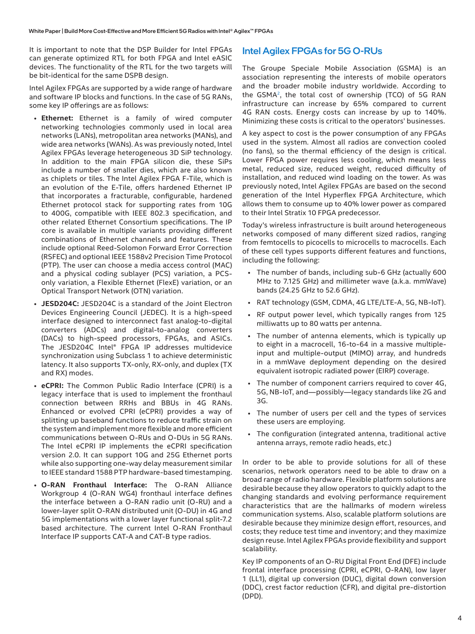It is important to note that the DSP Builder for Intel FPGAs can generate optimized RTL for both FPGA and Intel eASIC devices. The functionality of the RTL for the two targets will be bit-identical for the same DSPB design.

Intel Agilex FPGAs are supported by a wide range of hardware and software IP blocks and functions. In the case of 5G RANs, some key IP offerings are as follows:

- **Ethernet:** Ethernet is a family of wired computer networking technologies commonly used in local area networks (LANs), metropolitan area networks (MANs), and wide area networks (WANs). As was previously noted, Intel Agilex FPGAs leverage heterogeneous 3D SiP technology. In addition to the main FPGA silicon die, these SiPs include a number of smaller dies, which are also known as chiplets or tiles. The Intel Agilex FPGA F-Tile, which is an evolution of the E-Tile, offers hardened Ethernet IP that incorporates a fracturable, configurable, hardened Ethernet protocol stack for supporting rates from 10G to 400G, compatible with IEEE 802.3 specification, and other related Ethernet Consortium specifications. The IP core is available in multiple variants providing different combinations of Ethernet channels and features. These include optional Reed-Solomon Forward Error Correction (RSFEC) and optional IEEE 1588v2 Precision Time Protocol (PTP). The user can choose a media access control (MAC) and a physical coding sublayer (PCS) variation, a PCSonly variation, a Flexible Ethernet (FlexE) variation, or an Optical Transport Network (OTN) variation.
- **JESD204C:** JESD204C is a standard of the Joint Electron Devices Engineering Council (JEDEC). It is a high-speed interface designed to interconnect fast analog-to-digital converters (ADCs) and digital-to-analog converters (DACs) to high-speed processors, FPGAs, and ASICs. The JESD204C Intel® FPGA IP addresses multidevice synchronization using Subclass 1 to achieve deterministic latency. It also supports TX-only, RX-only, and duplex (TX and RX) modes.
- **eCPRI:** The Common Public Radio Interface (CPRI) is a legacy interface that is used to implement the fronthaul connection between RRHs and BBUs in 4G RANs. Enhanced or evolved CPRI (eCPRI) provides a way of splitting up baseband functions to reduce traffic strain on the system and implement more flexible and more efficient communications between O-RUs and O-DUs in 5G RANs. The Intel eCPRI IP implements the eCPRI specification version 2.0. It can support 10G and 25G Ethernet ports while also supporting one-way delay measurement similar to IEEE standard 1588 PTP hardware-based timestamping.
- **O-RAN Fronthaul Interface:** The O-RAN Alliance Workgroup 4 (O-RAN WG4) fronthaul interface defines the interface between a O-RAN radio unit (O-RU) and a lower-layer split O-RAN distributed unit (O-DU) in 4G and 5G implementations with a lower layer functional split-7.2 based architecture. The current Intel O-RAN Fronthaul Interface IP supports CAT-A and CAT-B type radios.

#### Intel Agilex FPGAs for 5G O-RUs

The Groupe Speciale Mobile Association (GSMA) is an association representing the interests of mobile operators and the broader mobile industry worldwide. According to the GSMA<sup>2</sup>, the total cost of ownership (TCO) of 5G RAN infrastructure can increase by 65% compared to current 4G RAN costs. Energy costs can increase by up to 140%. Minimizing these costs is critical to the operators' businesses.

A key aspect to cost is the power consumption of any FPGAs used in the system. Almost all radios are convection cooled (no fans), so the thermal efficiency of the design is critical. Lower FPGA power requires less cooling, which means less metal, reduced size, reduced weight, reduced difficulty of installation, and reduced wind loading on the tower. As was previously noted, Intel Agilex FPGAs are based on the second generation of the Intel Hyperflex FPGA Architecture, which allows them to consume up to 40% lower power as compared to their Intel Stratix 10 FPGA predecessor.

Today's wireless infrastructure is built around heterogeneous networks composed of many different sized radios, ranging from femtocells to picocells to microcells to macrocells. Each of these cell types supports different features and functions, including the following:

- The number of bands, including sub-6 GHz (actually 600 MHz to 7.125 GHz) and millimeter wave (a.k.a. mmWave) bands (24.25 GHz to 52.6 GHz).
- RAT technology (GSM, CDMA, 4G LTE/LTE-A, 5G, NB-IoT).
- RF output power level, which typically ranges from 125 milliwatts up to 80 watts per antenna.
- The number of antenna elements, which is typically up to eight in a macrocell, 16-to-64 in a massive multipleinput and multiple-output (MIMO) array, and hundreds in a mmWave deployment depending on the desired equivalent isotropic radiated power (EIRP) coverage.
- The number of component carriers required to cover 4G, 5G, NB-IoT, and—possibly—legacy standards like 2G and 3G.
- The number of users per cell and the types of services these users are employing.
- The configuration (integrated antenna, traditional active antenna arrays, remote radio heads, etc.)

In order to be able to provide solutions for all of these scenarios, network operators need to be able to draw on a broad range of radio hardware. Flexible platform solutions are desirable because they allow operators to quickly adapt to the changing standards and evolving performance requirement characteristics that are the hallmarks of modern wireless communication systems. Also, scalable platform solutions are desirable because they minimize design effort, resources, and costs; they reduce test time and inventory; and they maximize design reuse. Intel Agilex FPGAs provide flexibility and support scalability.

Key IP components of an O-RU Digital Front End (DFE) include frontal interface processing (CPRI, eCPRI, O-RAN), low layer 1 (LL1), digital up conversion (DUC), digital down conversion (DDC), crest factor reduction (CFR), and digital pre-distortion (DPD).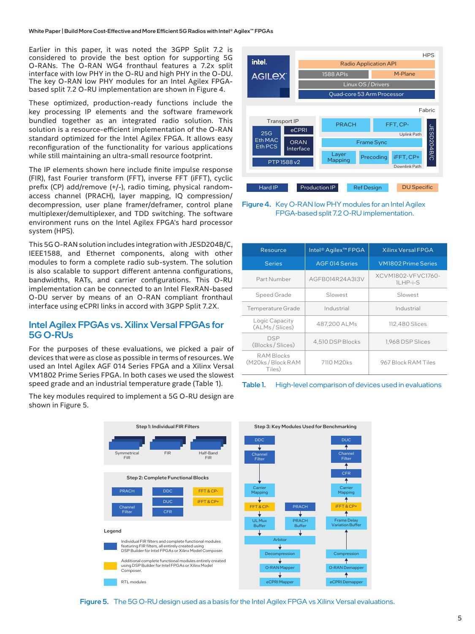Earlier in this paper, it was noted the 3GPP Split 7.2 is considered to provide the best option for supporting 5G O-RANs. The O-RAN WG4 fronthaul features a 7.2x split interface with low PHY in the O-RU and high PHY in the O-DU. The key O-RAN low PHY modules for an Intel Agilex FPGAbased split 7.2 O-RU implementation are shown in Figure 4.

These optimized, production-ready functions include the key processing IP elements and the software framework bundled together as an integrated radio solution. This solution is a resource-efficient implementation of the O-RAN standard optimized for the Intel Agilex FPGA. It allows easy reconfiguration of the functionality for various applications while still maintaining an ultra-small resource footprint.

The IP elements shown here include finite impulse response (FIR), fast Fourier transform (FFT), inverse FFT (iFFT), cyclic prefix (CP) add/remove (+/-), radio timing, physical randomaccess channel (PRACH), layer mapping, IQ compression/ decompression, user plane framer/deframer, control plane multiplexer/demultiplexer, and TDD switching. The software environment runs on the Intel Agilex FPGA's hard processor system (HPS).

This 5G O-RAN solution includes integration with JESD204B/C, IEEE1588, and Ethernet components, along with other modules to form a complete radio sub-system. The solution is also scalable to support different antenna configurations, bandwidths, RATs, and carrier configurations. This O-RU implementation can be connected to an Intel FlexRAN-based O-DU server by means of an O-RAN compliant fronthaul interface using eCPRI links in accord with 3GPP Split 7.2X.

#### Intel Agilex FPGAs vs. Xilinx Versal FPGAs for 5G O-RUs

For the purposes of these evaluations, we picked a pair of devices that were as close as possible in terms of resources. We used an Intel Agilex AGF 014 Series FPGA and a Xilinx Versal VM1802 Prime Series FPGA. In both cases we used the slowest speed grade and an industrial temperature grade (Table 1).

The key modules required to implement a 5G O-RU design are shown in Figure 5.



Figure 4. Key O-RAN low PHY modules for an Intel Agilex FPGA-based split 7.2 O-RU implementation.

| Resource                                        | Intel <sup>®</sup> Agilex <sup>™</sup> FPGA | <b>Xilinx Versal FPGA</b>             |  |  |
|-------------------------------------------------|---------------------------------------------|---------------------------------------|--|--|
| <b>Series</b>                                   | AGF 014 Series                              | <b>VM1802 Prime Series</b>            |  |  |
| Part Number                                     | AGFB014R24A3I3V                             | XCVM1802-VFVC1760-<br><b>ILHP-i-S</b> |  |  |
| Speed Grade                                     | Slowest                                     | Slowest                               |  |  |
| Temperature Grade                               | Industrial                                  | Industrial                            |  |  |
| Logic Capacity<br>(ALMs/Slices)                 | 487,200 ALMs                                | 112,480 Slices                        |  |  |
| <b>DSP</b><br>(Blocks/Slices)                   | 4,510 DSP Blocks                            | 1,968 DSP Slices                      |  |  |
| <b>RAM Blocks</b><br>(M20ks/Block RAM<br>Tiles) | 7110 M20ks                                  | 967 Block RAM Tiles                   |  |  |





Figure 5. The 5G O-RU design used as a basis for the Intel Agilex FPGA vs Xilinx Versal evaluations.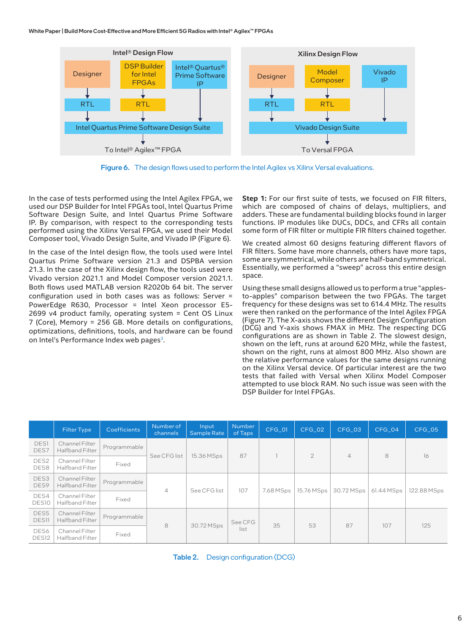White Paper | Build More Cost-Effective and More Efficient 5G Radios with Intel® Agilex™ FPGAs



Figure 6. The design flows used to perform the Intel Agilex vs Xilinx Versal evaluations.

In the case of tests performed using the Intel Agilex FPGA, we used our DSP Builder for Intel FPGAs tool, Intel Quartus Prime Software Design Suite, and Intel Quartus Prime Software IP. By comparison, with respect to the corresponding tests performed using the Xilinx Versal FPGA, we used their Model Composer tool, Vivado Design Suite, and Vivado IP (Figure 6).

In the case of the Intel design flow, the tools used were Intel Quartus Prime Software version 21.3 and DSPBA version 21.3. In the case of the Xilinx design flow, the tools used were Vivado version 2021.1 and Model Composer version 2021.1. Both flows used MATLAB version R2020b 64 bit. The server configuration used in both cases was as follows: Server = PowerEdge R630, Processor = Intel Xeon processor E5- 2699 v4 product family, operating system = Cent OS Linux 7 (Core), Memory = 256 GB. More details on configurations, optimizations, definitions, tools, and hardware can be found on Intel's Performance Index web pages<sup>3</sup>.

**Step 1:** For our first suite of tests, we focused on FIR filters, which are composed of chains of delays, multipliers, and adders. These are fundamental building blocks found in larger functions. IP modules like DUCs, DDCs, and CFRs all contain some form of FIR filter or multiple FIR filters chained together.

We created almost 60 designs featuring different flavors of FIR filters. Some have more channels, others have more taps, some are symmetrical, while others are half-band symmetrical. Essentially, we performed a "sweep" across this entire design space.

Using these small designs allowed us to perform a true "applesto-apples" comparison between the two FPGAs. The target frequency for these designs was set to 614.4 MHz. The results were then ranked on the performance of the Intel Agilex FPGA (Figure 7). The X-axis shows the different Design Configuration (DCG) and Y-axis shows FMAX in MHz. The respecting DCG configurations are as shown in Table 2. The slowest design, shown on the left, runs at around 620 MHz, while the fastest, shown on the right, runs at almost 800 MHz. Also shown are the relative performance values for the same designs running on the Xilinx Versal device. Of particular interest are the two tests that failed with Versal when Xilinx Model Composer attempted to use block RAM. No such issue was seen with the DSP Builder for Intel FPGAs.

|                           | <b>Filter Type</b>                       | <b>Coefficients</b> | Number of<br>channels | Input<br><b>Sample Rate</b> | <b>Number</b><br>of Taps | CFG_01    | CFG 02       | CFG_03         | CFG 04     | $CFG_05$    |
|---------------------------|------------------------------------------|---------------------|-----------------------|-----------------------------|--------------------------|-----------|--------------|----------------|------------|-------------|
| <b>DES1</b><br>DES7       | Channel Filter<br><b>Halfband Filter</b> | Programmable        | See CFG list          | 15.36 MSps                  | 87                       |           | $\mathbf{2}$ | $\overline{4}$ | 8          | 16          |
| DES <sub>2</sub><br>DES8  | Channel Filter<br><b>Halfband Filter</b> | Fixed               |                       |                             |                          |           |              |                |            |             |
| DES3<br>DES9              | Channel Filter<br><b>Halfband Filter</b> | Programmable        |                       | See CFG list                | 107                      | 7.68 MSps | 15.76 MSps   | 30.72 MSps     | 61.44 MSps | 122.88 MSps |
| DES4<br>DES10             | Channel Filter<br>Halfband Filter        | Fixed               | $\overline{4}$        |                             |                          |           |              |                |            |             |
| DES5<br><b>DES11</b>      | Channel Filter<br><b>Halfband Filter</b> | Programmable        | 8                     | 30.72 MSps                  | See CFG<br>list          | 35        | 53           | 87             | 107        | 125         |
| DES6<br>DES <sub>12</sub> | Channel Filter<br><b>Halfband Filter</b> | Fixed               |                       |                             |                          |           |              |                |            |             |

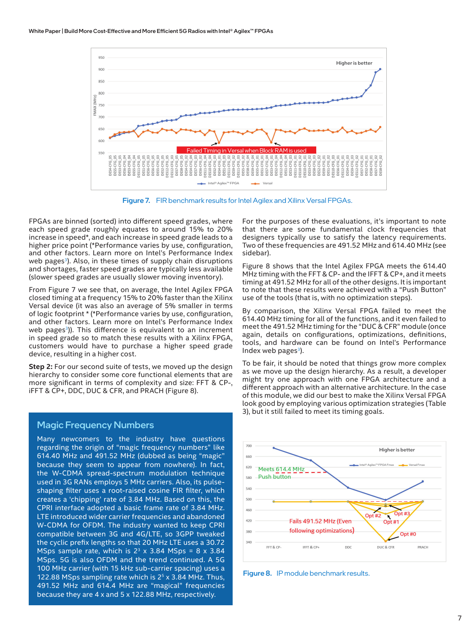

Figure 7. FIR benchmark results for Intel Agilex and Xilinx Versal FPGAs.

FPGAs are binned (sorted) into different speed grades, where each speed grade roughly equates to around 15% to 20% increase in speed\*, and each increase in speed grade leads to a higher price point (\*Performance varies by use, configuration, and other factors. Learn more on Intel's Performance Index web pages<sup>3</sup>). Also, in these times of supply chain disruptions and shortages, faster speed grades are typically less available (slower speed grades are usually slower moving inventory).

From Figure 7 we see that, on average, the Intel Agilex FPGA closed timing at a frequency 15% to 20% faster than the Xilinx Versal device (it was also an average of 5% smaller in terms of logic footprint \* (\*Performance varies by use, configuration, and other factors. Learn more on Intel's Performance Index web pages<sup>3</sup>)). This difference is equivalent to an increment in speed grade so to match these results with a Xilinx FPGA, customers would have to purchase a higher speed grade device, resulting in a higher cost.

**Step 2:** For our second suite of tests, we moved up the design hierarchy to consider some core functional elements that are more significant in terms of complexity and size: FFT & CP-, iFFT & CP+, DDC, DUC & CFR, and PRACH (Figure 8).

#### Magic Frequency Numbers

Many newcomers to the industry have questions regarding the origin of "magic frequency numbers" like 614.40 MHz and 491.52 MHz (dubbed as being "magic" because they seem to appear from nowhere). In fact, the W-CDMA spread-spectrum modulation technique used in 3G RANs employs 5 MHz carriers. Also, its pulseshaping filter uses a root-raised cosine FIR filter, which creates a 'chipping' rate of 3.84 MHz. Based on this, the CPRI interface adopted a basic frame rate of 3.84 MHz. LTE introduced wider carrier frequencies and abandoned W-CDMA for OFDM. The industry wanted to keep CPRI compatible between 3G and 4G/LTE, so 3GPP tweaked the cyclic prefix lengths so that 20 MHz LTE uses a 30.72 MSps sample rate, which is  $2<sup>3</sup>$  x 3.84 MSps = 8 x 3.84 MSps. 5G is also OFDM and the trend continued. A 5G 100 MHz carrier (with 15 kHz sub-carrier spacing) uses a 122.88 MSps sampling rate which is  $2<sup>5</sup>$  x 3.84 MHz. Thus, 491.52 MHz and 614.4 MHz are "magical" frequencies because they are 4 x and 5 x 122.88 MHz, respectively.

For the purposes of these evaluations, it's important to note that there are some fundamental clock frequencies that designers typically use to satisfy the latency requirements. Two of these frequencies are 491.52 MHz and 614.40 MHz (see sidebar).

Figure 8 shows that the Intel Agilex FPGA meets the 614.40 MHz timing with the FFT & CP- and the IFFT & CP+, and it meets timing at 491.52 MHz for all of the other designs. It is important to note that these results were achieved with a "Push Button" use of the tools (that is, with no optimization steps).

By comparison, the Xilinx Versal FPGA failed to meet the 614.40 MHz timing for all of the functions, and it even failed to meet the 491.52 MHz timing for the "DUC & CFR" module (once again, details on configurations, optimizations, definitions, tools, and hardware can be found on Intel's Performance Index web pages $3$ ).

To be fair, it should be noted that things grow more complex as we move up the design hierarchy. As a result, a developer might try one approach with one FPGA architecture and a different approach with an alternative architecture. In the case of this module, we did our best to make the Xilinx Versal FPGA look good by employing various optimization strategies (Table 3), but it still failed to meet its timing goals.



Figure 8. IP module benchmark results.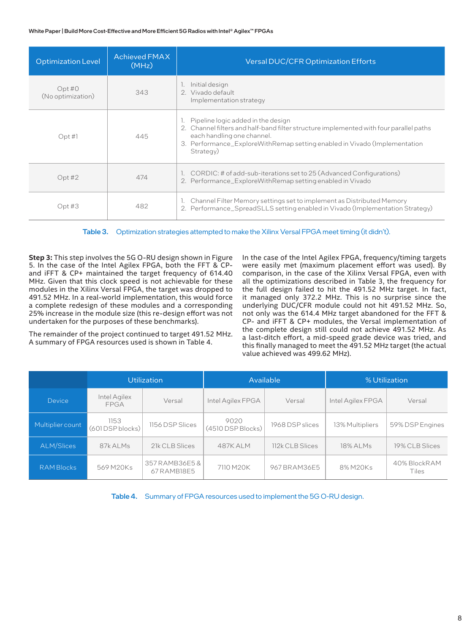#### White Paper | Build More Cost-Effective and More Efficient 5G Radios with Intel® Agilex™ FPGAs

| <b>Optimization Level</b>  | <b>Achieved FMAX</b><br>(MHz) | Versal DUC/CFR Optimization Efforts                                                                                                                                                                                                                     |
|----------------------------|-------------------------------|---------------------------------------------------------------------------------------------------------------------------------------------------------------------------------------------------------------------------------------------------------|
| Opt#O<br>(No optimization) | 343                           | 1. Initial design<br>2 Vivado default<br>Implementation strategy                                                                                                                                                                                        |
| Opt H                      | 445                           | 1. Pipeline logic added in the design<br>2. Channel filters and half-band filter structure implemented with four parallel paths<br>each handling one channel.<br>3. Performance_ExploreWithRemap setting enabled in Vivado (Implementation<br>Strategy) |
| Opt#2                      | 474                           | 1. CORDIC: # of add-sub-iterations set to 25 (Advanced Configurations)<br>2. Performance_ExploreWithRemap setting enabled in Vivado                                                                                                                     |
| Opt#3                      | 482                           | Channel Filter Memory settings set to implement as Distributed Memory<br>2. Performance_SpreadSLLS setting enabled in Vivado (Implementation Strategy)                                                                                                  |

Table 3. Optimization strategies attempted to make the Xilinx Versal FPGA meet timing (it didn't).

**Step 3:** This step involves the 5G O-RU design shown in Figure 5. In the case of the Intel Agilex FPGA, both the FFT & CPand iFFT & CP+ maintained the target frequency of 614.40 MHz. Given that this clock speed is not achievable for these modules in the Xilinx Versal FPGA, the target was dropped to 491.52 MHz. In a real-world implementation, this would force a complete redesign of these modules and a corresponding 25% increase in the module size (this re-design effort was not undertaken for the purposes of these benchmarks).

The remainder of the project continued to target 491.52 MHz. A summary of FPGA resources used is shown in Table 4.

In the case of the Intel Agilex FPGA, frequency/timing targets were easily met (maximum placement effort was used). By comparison, in the case of the Xilinx Versal FPGA, even with all the optimizations described in Table 3, the frequency for the full design failed to hit the 491.52 MHz target. In fact, it managed only 372.2 MHz. This is no surprise since the underlying DUC/CFR module could not hit 491.52 MHz. So, not only was the 614.4 MHz target abandoned for the FFT & CP- and iFFT & CP+ modules, the Versal implementation of the complete design still could not achieve 491.52 MHz. As a last-ditch effort, a mid-speed grade device was tried, and this finally managed to meet the 491.52 MHz target (the actual value achieved was 499.62 MHz).

|                   | <b>Utilization</b>          |                               |                             | Available       | % Utilization     |                       |  |
|-------------------|-----------------------------|-------------------------------|-----------------------------|-----------------|-------------------|-----------------------|--|
| <b>Device</b>     | Intel Agilex<br><b>FPGA</b> | Versal                        | Intel Agilex FPGA           | Versal          | Intel Agilex FPGA | Versal                |  |
| Multiplier count  | 1153<br>(601DSP blocks)     | 1156 DSP Slices               | 9020<br>$(4510$ DSP Blocks) | 1968 DSP slices | 13% Multipliers   | 59% DSP Engines       |  |
| ALM/Slices        | 87k ALMs                    | 21k CLB Slices                | 487K ALM                    | 112k CLB Slices | 18% ALMs          | 19% CLB Slices        |  |
| <b>RAM Blocks</b> | 569 M20Ks                   | 357 RAMB36E5 &<br>67 RAMB18E5 | 7110 M20K                   | 967 BRAM36E5    | 8% M20Ks          | 40% BlockRAM<br>Tiles |  |

Table 4. Summary of FPGA resources used to implement the 5G O-RU design.